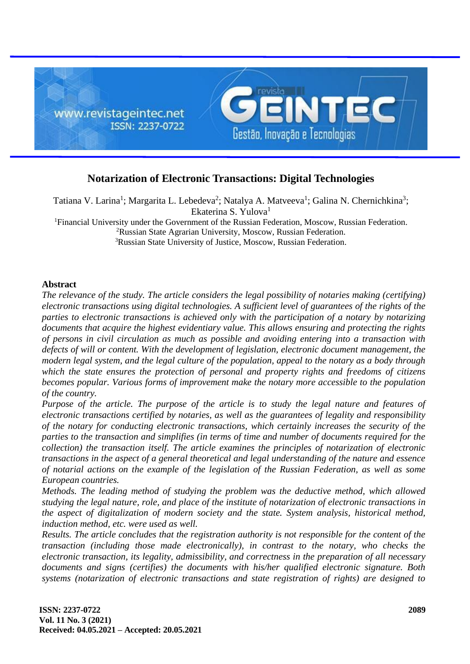

# **Notarization of Electronic Transactions: Digital Technologies**

Tatiana V. Larina<sup>1</sup>; Margarita L. Lebedeva<sup>2</sup>; Natalya A. Matveeva<sup>1</sup>; Galina N. Chernichkina<sup>3</sup>; Ekaterina S. Yulova<sup>1</sup>

<sup>1</sup>Financial University under the Government of the Russian Federation, Moscow, Russian Federation. <sup>2</sup>Russian State Agrarian University, Moscow, Russian Federation. <sup>3</sup>Russian State University of Justice, Moscow, Russian Federation.

# **Abstract**

*The relevance of the study. The article considers the legal possibility of notaries making (certifying) electronic transactions using digital technologies. A sufficient level of guarantees of the rights of the parties to electronic transactions is achieved only with the participation of a notary by notarizing documents that acquire the highest evidentiary value. This allows ensuring and protecting the rights of persons in civil circulation as much as possible and avoiding entering into a transaction with defects of will or content. With the development of legislation, electronic document management, the modern legal system, and the legal culture of the population, appeal to the notary as a body through which the state ensures the protection of personal and property rights and freedoms of citizens becomes popular. Various forms of improvement make the notary more accessible to the population of the country.*

*Purpose of the article. The purpose of the article is to study the legal nature and features of electronic transactions certified by notaries, as well as the guarantees of legality and responsibility of the notary for conducting electronic transactions, which certainly increases the security of the parties to the transaction and simplifies (in terms of time and number of documents required for the collection) the transaction itself. The article examines the principles of notarization of electronic transactions in the aspect of a general theoretical and legal understanding of the nature and essence of notarial actions on the example of the legislation of the Russian Federation, as well as some European countries.*

*Methods. The leading method of studying the problem was the deductive method, which allowed studying the legal nature, role, and place of the institute of notarization of electronic transactions in the aspect of digitalization of modern society and the state. System analysis, historical method, induction method, etc. were used as well.*

*Results. The article concludes that the registration authority is not responsible for the content of the transaction (including those made electronically), in contrast to the notary, who checks the electronic transaction, its legality, admissibility, and correctness in the preparation of all necessary documents and signs (certifies) the documents with his/her qualified electronic signature. Both systems (notarization of electronic transactions and state registration of rights) are designed to*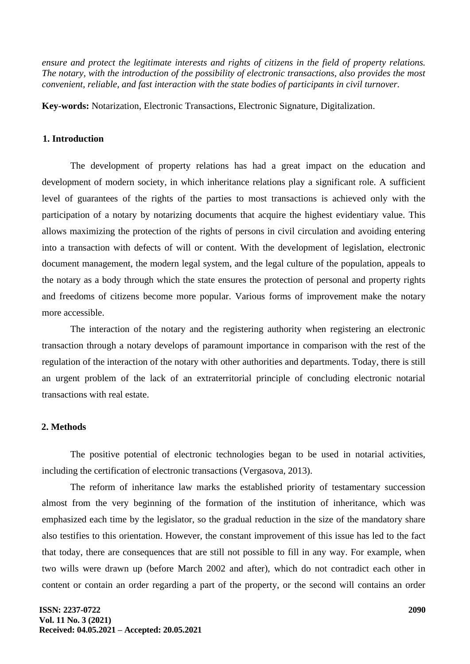*ensure and protect the legitimate interests and rights of citizens in the field of property relations. The notary, with the introduction of the possibility of electronic transactions, also provides the most convenient, reliable, and fast interaction with the state bodies of participants in civil turnover.*

**Key-words:** Notarization, Electronic Transactions, Electronic Signature, Digitalization.

### **1. Introduction**

The development of property relations has had a great impact on the education and development of modern society, in which inheritance relations play a significant role. A sufficient level of guarantees of the rights of the parties to most transactions is achieved only with the participation of a notary by notarizing documents that acquire the highest evidentiary value. This allows maximizing the protection of the rights of persons in civil circulation and avoiding entering into a transaction with defects of will or content. With the development of legislation, electronic document management, the modern legal system, and the legal culture of the population, appeals to the notary as a body through which the state ensures the protection of personal and property rights and freedoms of citizens become more popular. Various forms of improvement make the notary more accessible.

The interaction of the notary and the registering authority when registering an electronic transaction through a notary develops of paramount importance in comparison with the rest of the regulation of the interaction of the notary with other authorities and departments. Today, there is still an urgent problem of the lack of an extraterritorial principle of concluding electronic notarial transactions with real estate.

# **2. Methods**

The positive potential of electronic technologies began to be used in notarial activities, including the certification of electronic transactions (Vergasova, 2013).

The reform of inheritance law marks the established priority of testamentary succession almost from the very beginning of the formation of the institution of inheritance, which was emphasized each time by the legislator, so the gradual reduction in the size of the mandatory share also testifies to this orientation. However, the constant improvement of this issue has led to the fact that today, there are consequences that are still not possible to fill in any way. For example, when two wills were drawn up (before March 2002 and after), which do not contradict each other in content or contain an order regarding a part of the property, or the second will contains an order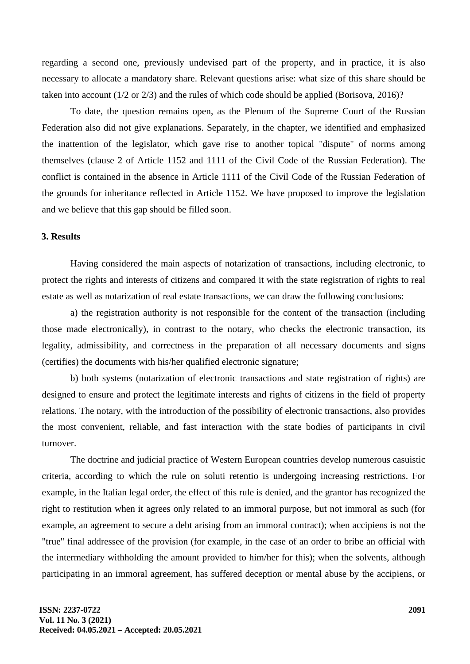regarding a second one, previously undevised part of the property, and in practice, it is also necessary to allocate a mandatory share. Relevant questions arise: what size of this share should be taken into account (1/2 or 2/3) and the rules of which code should be applied (Borisova, 2016)?

To date, the question remains open, as the Plenum of the Supreme Court of the Russian Federation also did not give explanations. Separately, in the chapter, we identified and emphasized the inattention of the legislator, which gave rise to another topical "dispute" of norms among themselves (clause 2 of Article 1152 and 1111 of the Civil Code of the Russian Federation). The conflict is contained in the absence in Article 1111 of the Civil Code of the Russian Federation of the grounds for inheritance reflected in Article 1152. We have proposed to improve the legislation and we believe that this gap should be filled soon.

## **3. Results**

Having considered the main aspects of notarization of transactions, including electronic, to protect the rights and interests of citizens and compared it with the state registration of rights to real estate as well as notarization of real estate transactions, we can draw the following conclusions:

a) the registration authority is not responsible for the content of the transaction (including those made electronically), in contrast to the notary, who checks the electronic transaction, its legality, admissibility, and correctness in the preparation of all necessary documents and signs (certifies) the documents with his/her qualified electronic signature;

b) both systems (notarization of electronic transactions and state registration of rights) are designed to ensure and protect the legitimate interests and rights of citizens in the field of property relations. The notary, with the introduction of the possibility of electronic transactions, also provides the most convenient, reliable, and fast interaction with the state bodies of participants in civil turnover.

The doctrine and judicial practice of Western European countries develop numerous casuistic criteria, according to which the rule on soluti retentio is undergoing increasing restrictions. For example, in the Italian legal order, the effect of this rule is denied, and the grantor has recognized the right to restitution when it agrees only related to an immoral purpose, but not immoral as such (for example, an agreement to secure a debt arising from an immoral contract); when accipiens is not the "true" final addressee of the provision (for example, in the case of an order to bribe an official with the intermediary withholding the amount provided to him/her for this); when the solvents, although participating in an immoral agreement, has suffered deception or mental abuse by the accipiens, or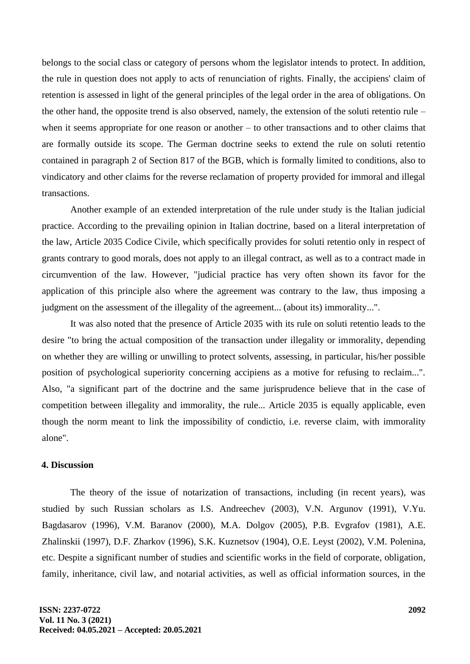belongs to the social class or category of persons whom the legislator intends to protect. In addition, the rule in question does not apply to acts of renunciation of rights. Finally, the accipiens' claim of retention is assessed in light of the general principles of the legal order in the area of obligations. On the other hand, the opposite trend is also observed, namely, the extension of the soluti retentio rule – when it seems appropriate for one reason or another – to other transactions and to other claims that are formally outside its scope. The German doctrine seeks to extend the rule on soluti retentio contained in paragraph 2 of Section 817 of the BGB, which is formally limited to conditions, also to vindicatory and other claims for the reverse reclamation of property provided for immoral and illegal transactions.

Another example of an extended interpretation of the rule under study is the Italian judicial practice. According to the prevailing opinion in Italian doctrine, based on a literal interpretation of the law, Article 2035 Codice Civile, which specifically provides for soluti retentio only in respect of grants contrary to good morals, does not apply to an illegal contract, as well as to a contract made in circumvention of the law. However, "judicial practice has very often shown its favor for the application of this principle also where the agreement was contrary to the law, thus imposing a judgment on the assessment of the illegality of the agreement... (about its) immorality...".

It was also noted that the presence of Article 2035 with its rule on soluti retentio leads to the desire "to bring the actual composition of the transaction under illegality or immorality, depending on whether they are willing or unwilling to protect solvents, assessing, in particular, his/her possible position of psychological superiority concerning accipiens as a motive for refusing to reclaim...". Also, "a significant part of the doctrine and the same jurisprudence believe that in the case of competition between illegality and immorality, the rule... Article 2035 is equally applicable, even though the norm meant to link the impossibility of condictio, i.e. reverse claim, with immorality alone".

#### **4. Discussion**

The theory of the issue of notarization of transactions, including (in recent years), was studied by such Russian scholars as I.S. Andreechev (2003), V.N. Argunov (1991), V.Yu. Bagdasarov (1996), V.M. Baranov (2000), M.A. Dolgov (2005), P.B. Evgrafov (1981), A.E. Zhalinskii (1997), D.F. Zharkov (1996), S.K. Kuznetsov (1904), O.E. Leyst (2002), V.M. Polenina, etc. Despite a significant number of studies and scientific works in the field of corporate, obligation, family, inheritance, civil law, and notarial activities, as well as official information sources, in the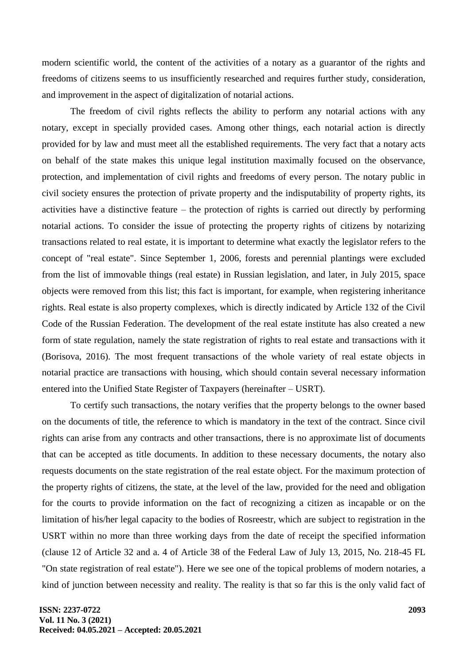modern scientific world, the content of the activities of a notary as a guarantor of the rights and freedoms of citizens seems to us insufficiently researched and requires further study, consideration, and improvement in the aspect of digitalization of notarial actions.

The freedom of civil rights reflects the ability to perform any notarial actions with any notary, except in specially provided cases. Among other things, each notarial action is directly provided for by law and must meet all the established requirements. The very fact that a notary acts on behalf of the state makes this unique legal institution maximally focused on the observance, protection, and implementation of civil rights and freedoms of every person. The notary public in civil society ensures the protection of private property and the indisputability of property rights, its activities have a distinctive feature – the protection of rights is carried out directly by performing notarial actions. To consider the issue of protecting the property rights of citizens by notarizing transactions related to real estate, it is important to determine what exactly the legislator refers to the concept of "real estate". Since September 1, 2006, forests and perennial plantings were excluded from the list of immovable things (real estate) in Russian legislation, and later, in July 2015, space objects were removed from this list; this fact is important, for example, when registering inheritance rights. Real estate is also property complexes, which is directly indicated by Article 132 of the Civil Code of the Russian Federation. The development of the real estate institute has also created a new form of state regulation, namely the state registration of rights to real estate and transactions with it (Borisova, 2016). The most frequent transactions of the whole variety of real estate objects in notarial practice are transactions with housing, which should contain several necessary information entered into the Unified State Register of Taxpayers (hereinafter – USRT).

To certify such transactions, the notary verifies that the property belongs to the owner based on the documents of title, the reference to which is mandatory in the text of the contract. Since civil rights can arise from any contracts and other transactions, there is no approximate list of documents that can be accepted as title documents. In addition to these necessary documents, the notary also requests documents on the state registration of the real estate object. For the maximum protection of the property rights of citizens, the state, at the level of the law, provided for the need and obligation for the courts to provide information on the fact of recognizing a citizen as incapable or on the limitation of his/her legal capacity to the bodies of Rosreestr, which are subject to registration in the USRT within no more than three working days from the date of receipt the specified information (clause 12 of Article 32 and a. 4 of Article 38 of the Federal Law of July 13, 2015, No. 218[-45](https://fa.antiplagiat.ru/report/full/1326?v=1&c=0&page=36) FL "On state registration of real estate"). Here we see one of the topical problems of modern notaries, a kind of junction between necessity and reality. The reality is that so far this is the only valid fact of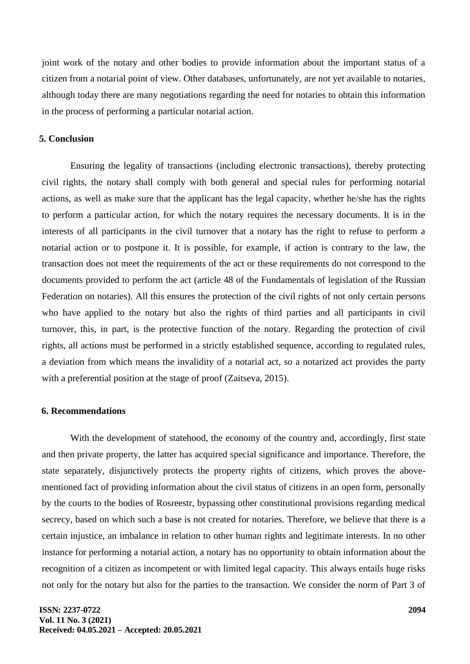joint work of the notary and other bodies to provide information about the important status of a citizen from a notarial point of view. Other databases, unfortunately, are not yet available to notaries, although today there are many negotiations regarding the need for notaries to obtain this information in the process of performing a particular notarial action.

## **5. Conclusion**

Ensuring the legality of transactions (including electronic transactions), thereby protecting civil rights, the notary shall comply with both general and special rules for performing notarial actions, as well as make sure that the applicant has the legal capacity, whether he/she has the rights to perform a particular action, for which the notary requires the necessary documents. It is in the interests of all participants in the civil turnover that a notary has the right to refuse to perform a notarial action or to postpone it. It is possible, for example, if action is contrary to the law, the transaction does not meet the requirements of the act or these requirements do not correspond to the documents provided to perform the act (article 48 of the Fundamentals of legislation of the Russian Federation on notaries). All this ensures the protection of the civil rights of not only certain persons who have applied to the notary but also the rights of third parties and all participants in civil turnover, this, in part, is the protective function of the notary. Regarding the protection of civil rights, all actions must be performed in a strictly established sequence, according to regulated rules, a deviation from which means the invalidity of a notarial act, so a notarized act provides the party with a preferential position at the stage of proof (Zaitseva, 2015).

# **6. Recommendations**

With the development of statehood, the economy of the country and, accordingly, first state and then private property, the latter has acquired special significance and importance. Therefore, the state separately, disjunctively protects the property rights of citizens, which proves the abovementioned fact of providing information about the civil status of citizens in an open form, personally by the courts to the bodies of Rosreestr, bypassing other constitutional provisions regarding medical secrecy, based on which such a base is not created for notaries. Therefore, we believe that there is a certain injustice, an imbalance in relation to other human rights and legitimate interests. In no other instance for performing a notarial action, a notary has no opportunity to obtain information about the recognition of a citizen as incompetent or with limited legal capacity. This always entails huge risks not only for the notary but also for the parties to the transaction. We consider the norm of Part 3 of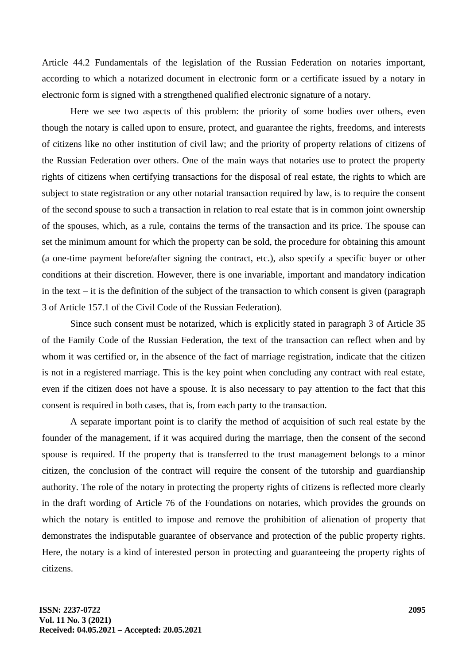Article 44.2 Fundamentals of the legislation of the Russian Federation on notaries important, according to which a notarized document in electronic form or a certificate issued by a notary in electronic form is signed with a strengthened qualified electronic signature of a notary.

Here we see two aspects of this problem: the priority of some bodies over others, even though the notary is called upon to ensure, protect, and guarantee the rights, freedoms, and interests of citizens like no other institution of civil law; and the priority of property relations of citizens of the Russian Federation over others. One of the main ways that notaries use to protect the property rights of citizens when certifying transactions for the disposal of real estate, the rights to which are subject to state registration or any other notarial transaction required by law, is to require the consent of the second spouse to such a transaction in relation to real estate that is in common joint ownership of the spouses, which, as a rule, contains the terms of the transaction and its price. The spouse can set the minimum amount for which the property can be sold, the procedure for obtaining this amount (a one-time payment before/after signing the contract, etc.), also specify a specific buyer or other conditions at their discretion. However, there is one invariable, important and mandatory indication in the text – it is the definition of the subject of the transaction to which consent is given (paragraph 3 of Article 157.1 of the Civil Code of the Russian Federation).

Since such consent must be notarized, which is explicitly stated in paragraph 3 of Article 35 of the Family Code of the Russian Federation, the text of the transaction can reflect when and by whom it was certified or, in the absence of the fact of marriage registration, indicate that the citizen is not in a registered marriage. This is the key point when concluding any contract with real estate, even if the citizen does not have a spouse. It is also necessary to pay attention to the fact that this consent is required in both cases, that is, from each party to the transaction.

A separate important point is to clarify the method of acquisition of such real estate by the founder of the management, if it was acquired during the marriage, then the consent of the second spouse is required. If the property that is transferred to the trust management belongs to a minor citizen, the conclusion of the contract will require the consent of the tutorship and guardianship authority. The role of the notary in protecting the property rights of citizens is reflected more clearly in the draft wording of Article 76 of the Foundations on notaries, which provides the grounds on which the notary is entitled to impose and remove the prohibition of alienation of property that demonstrates the indisputable guarantee of observance and protection of the public property rights. Here, the notary is a kind of interested person in protecting and guaranteeing the property rights of citizens.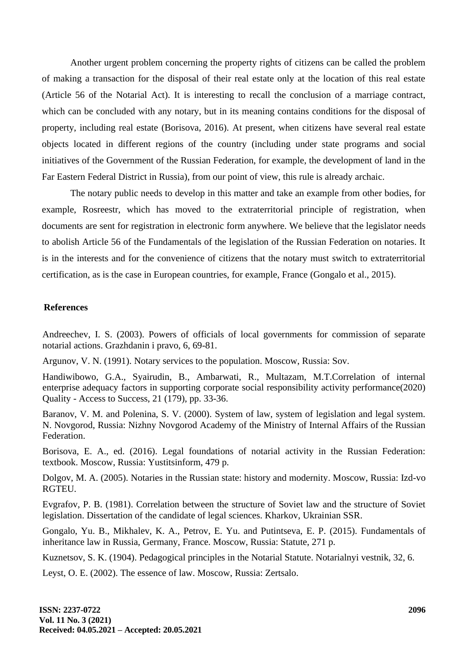Another urgent problem concerning the property rights of citizens can be called the problem of making a transaction for the disposal of their real estate only at the location of this real estate (Article 56 of the Notarial Act). It is interesting to recall the conclusion of a marriage contract, which can be concluded with any notary, but in its meaning contains conditions for the disposal of property, including real estate (Borisova, 2016). At present, when citizens have several real estate objects located in different regions of the country (including under state programs and social initiatives of the Government of the Russian Federation, for example, the development of land in the Far Eastern Federal District in Russia), from our point of view, this rule is already archaic.

The notary public needs to develop in this matter and take an example from other bodies, for example, Rosreestr, which has moved to the extraterritorial principle of registration, when documents are sent for registration in electronic form anywhere. We believe that the legislator needs to abolish Article 56 of the Fundamentals of the legislation of the Russian Federation on notaries. It is in the interests and for the convenience of citizens that the notary must switch to extraterritorial certification, as is the case in European countries, for example, France (Gongalo et al., 2015).

### **References**

Andreechev, I. S. (2003). Powers of officials of local governments for commission of separate notarial actions. Grazhdanin i pravo, 6, 69-81.

Argunov, V. N. (1991). Notary services to the population. Moscow, Russia: Sov.

Handiwibowo, G.A., Syairudin, B., Ambarwati, R., Multazam, M.T.Correlation of internal enterprise adequacy factors in supporting corporate social responsibility activity performance(2020) Quality - Access to Success, 21 (179), pp. 33-36.

Baranov, V. M. and Polenina, S. V. (2000). System of law, system of legislation and legal system. N. Novgorod, Russia: Nizhny Novgorod Academy of the Ministry of Internal Affairs of the Russian Federation.

Borisova, E. A., ed. (2016). Legal foundations of notarial activity in the Russian Federation: textbook. Moscow, Russia: Yustitsinform, 479 p.

Dolgov, M. A. (2005). Notaries in the Russian state: history and modernity. Moscow, Russia: Izd-vo RGTEU.

Evgrafov, P. B. (1981). Correlation between the structure of Soviet law and the structure of Soviet legislation. Dissertation of the candidate of legal sciences. Kharkov, Ukrainian SSR.

Gongalo, Yu. B., Mikhalev, K. A., Petrov, E. Yu. and Putintseva, E. P. (2015). Fundamentals of inheritance law in Russia, Germany, France. Moscow, Russia: Statute, 271 p.

Kuznetsov, S. K. (1904). Pedagogical principles in the Notarial Statute. Notarialnyi vestnik, 32, 6.

Leyst, O. E. (2002). The essence of law. Moscow, Russia: Zertsalo.